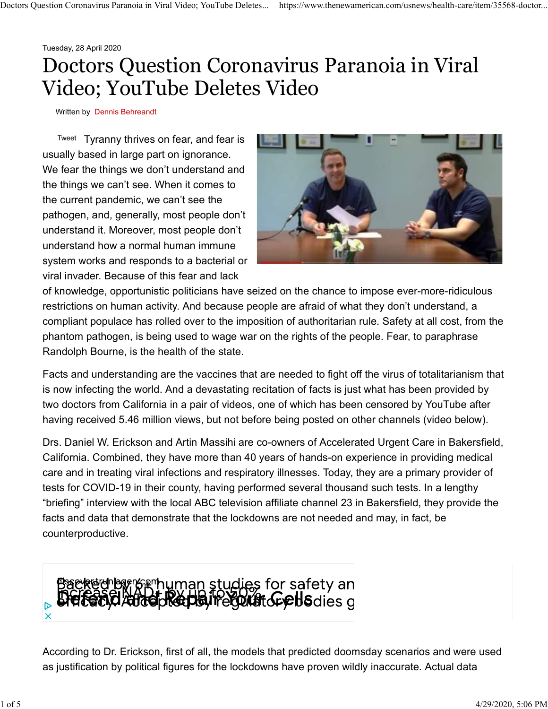Tuesday, 28 April 2020

## Doctors Question Coronavirus Paranoia in Viral Video; YouTube Deletes Video Doctors Question Coronavirus Paranoia in Viral Video; YouTube Deletes... https://www.thenewamerican.com/usnews/health-care/item/35568-doctor...

Written by Dennis Behreandt

Tweet Tyranny thrives on fear, and fear is **the state of the state of the state of the state of the state of the state of the state of the state of the state of the state of the state of the state of the state of the state** usually based in large part on ignorance. We fear the things we don't understand and the things we can't see. When it comes to the current pandemic, we can't see the pathogen, and, generally, most people don't understand it. Moreover, most people don't understand how a normal human immune system works and responds to a bacterial or viral invader. Because of this fear and lack



of knowledge, opportunistic politicians have seized on the chance to impose ever-more-ridiculous restrictions on human activity. And because people are afraid of what they don't understand, a compliant populace has rolled over to the imposition of authoritarian rule. Safety at all cost, from the phantom pathogen, is being used to wage war on the rights of the people. Fear, to paraphrase Randolph Bourne, is the health of the state.

Facts and understanding are the vaccines that are needed to fight off the virus of totalitarianism that is now infecting the world. And a devastating recitation of facts is just what has been provided by two doctors from California in a pair of videos, one of which has been censored by YouTube after having received 5.46 million views, but not before being posted on other channels (video below).

Drs. Daniel W. Erickson and Artin Massihi are co-owners of Accelerated Urgent Care in Bakersfield, California. Combined, they have more than 40 years of hands-on experience in providing medical care and in treating viral infections and respiratory illnesses. Today, they are a primary provider of tests for COVID-19 in their county, having performed several thousand such tests. In a lengthy "briefing" interview with the local ABC television affiliate channel 23 in Bakersfield, they provide the facts and data that demonstrate that the lockdowns are not needed and may, in fact, be counterproductive.



According to Dr. Erickson, first of all, the models that predicted doomsday scenarios and were used as justification by political figures for the lockdowns have proven wildly inaccurate. Actual data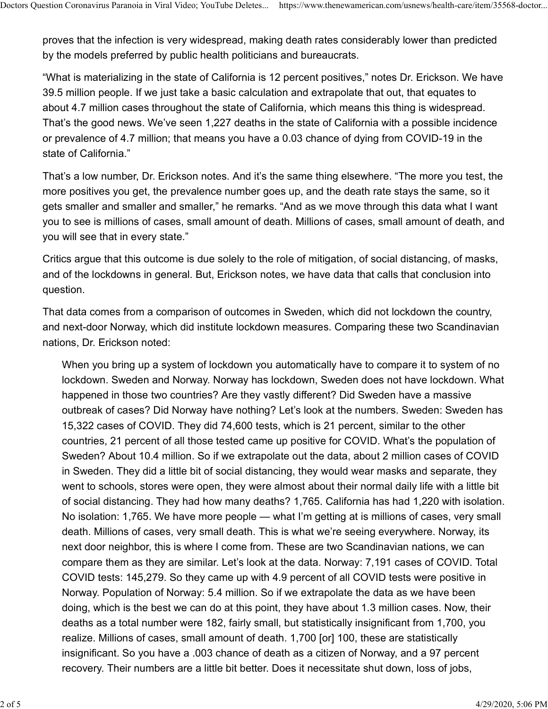proves that the infection is very widespread, making death rates considerably lower than predicted by the models preferred by public health politicians and bureaucrats. Doctors Question Coronavirus Paranoia in Viral Video; YouTube Deletes... https://www.thenewamerican.com/usnews/health-care/item/35568-doctor...<br>proves that the infection is very widespread, making death rates considerably

"What is materializing in the state of California is 12 percent positives," notes Dr. Erickson. We have 39.5 million people. If we just take a basic calculation and extrapolate that out, that equates to about 4.7 million cases throughout the state of California, which means this thing is widespread. That's the good news. We've seen 1,227 deaths in the state of California with a possible incidence or prevalence of 4.7 million; that means you have a 0.03 chance of dying from COVID-19 in the state of California."

That's a low number, Dr. Erickson notes. And it's the same thing elsewhere. "The more you test, the more positives you get, the prevalence number goes up, and the death rate stays the same, so it gets smaller and smaller and smaller," he remarks. "And as we move through this data what I want you to see is millions of cases, small amount of death. Millions of cases, small amount of death, and you will see that in every state."

Critics argue that this outcome is due solely to the role of mitigation, of social distancing, of masks, and of the lockdowns in general. But, Erickson notes, we have data that calls that conclusion into question.

That data comes from a comparison of outcomes in Sweden, which did not lockdown the country, and next-door Norway, which did institute lockdown measures. Comparing these two Scandinavian nations, Dr. Erickson noted:

When you bring up a system of lockdown you automatically have to compare it to system of no lockdown. Sweden and Norway. Norway has lockdown, Sweden does not have lockdown. What happened in those two countries? Are they vastly different? Did Sweden have a massive outbreak of cases? Did Norway have nothing? Let's look at the numbers. Sweden: Sweden has 15,322 cases of COVID. They did 74,600 tests, which is 21 percent, similar to the other countries, 21 percent of all those tested came up positive for COVID. What's the population of Sweden? About 10.4 million. So if we extrapolate out the data, about 2 million cases of COVID in Sweden. They did a little bit of social distancing, they would wear masks and separate, they went to schools, stores were open, they were almost about their normal daily life with a little bit of social distancing. They had how many deaths? 1,765. California has had 1,220 with isolation. No isolation: 1,765. We have more people — what I'm getting at is millions of cases, very small death. Millions of cases, very small death. This is what we're seeing everywhere. Norway, its next door neighbor, this is where I come from. These are two Scandinavian nations, we can compare them as they are similar. Let's look at the data. Norway: 7,191 cases of COVID. Total COVID tests: 145,279. So they came up with 4.9 percent of all COVID tests were positive in Norway. Population of Norway: 5.4 million. So if we extrapolate the data as we have been doing, which is the best we can do at this point, they have about 1.3 million cases. Now, their deaths as a total number were 182, fairly small, but statistically insignificant from 1,700, you realize. Millions of cases, small amount of death. 1,700 [or] 100, these are statistically insignificant. So you have a .003 chance of death as a citizen of Norway, and a 97 percent recovery. Their numbers are a little bit better. Does it necessitate shut down, loss of jobs,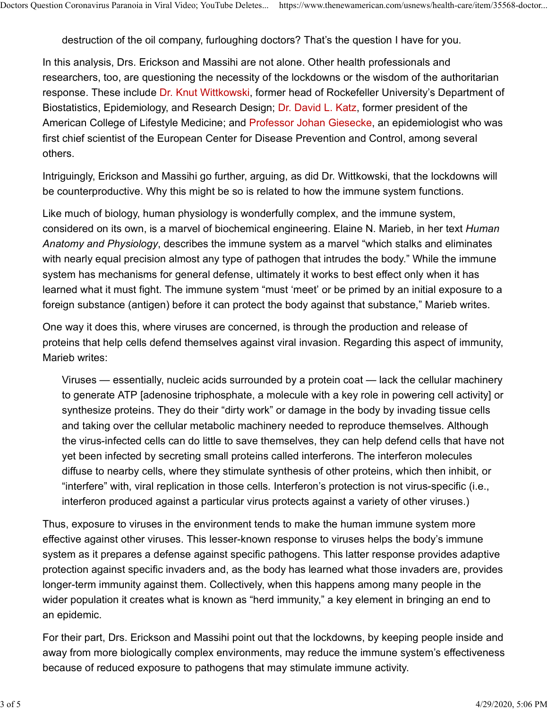destruction of the oil company, furloughing doctors? That's the question I have for you. Doctors Question Coronavirus Paranoia in Viral Video; YouTube Deletes... https://www.thenewamerican.com/usnews/health-care/item/35568-doctor...<br>destruction of the oil company, furloughing doctors? That's the question I hav

In this analysis, Drs. Erickson and Massihi are not alone. Other health professionals and researchers, too, are questioning the necessity of the lockdowns or the wisdom of the authoritarian response. These include Dr. Knut Wittkowski, former head of Rockefeller University's Department of Biostatistics, Epidemiology, and Research Design; Dr. David L. Katz, former president of the American College of Lifestyle Medicine; and Professor Johan Giesecke, an epidemiologist who was first chief scientist of the European Center for Disease Prevention and Control, among several others.

Intriguingly, Erickson and Massihi go further, arguing, as did Dr. Wittkowski, that the lockdowns will be counterproductive. Why this might be so is related to how the immune system functions.

Like much of biology, human physiology is wonderfully complex, and the immune system, considered on its own, is a marvel of biochemical engineering. Elaine N. Marieb, in her text Human Anatomy and Physiology, describes the immune system as a marvel "which stalks and eliminates with nearly equal precision almost any type of pathogen that intrudes the body." While the immune system has mechanisms for general defense, ultimately it works to best effect only when it has learned what it must fight. The immune system "must 'meet' or be primed by an initial exposure to a foreign substance (antigen) before it can protect the body against that substance," Marieb writes.

One way it does this, where viruses are concerned, is through the production and release of proteins that help cells defend themselves against viral invasion. Regarding this aspect of immunity, Marieb writes:

Viruses — essentially, nucleic acids surrounded by a protein coat — lack the cellular machinery to generate ATP [adenosine triphosphate, a molecule with a key role in powering cell activity] or synthesize proteins. They do their "dirty work" or damage in the body by invading tissue cells and taking over the cellular metabolic machinery needed to reproduce themselves. Although the virus-infected cells can do little to save themselves, they can help defend cells that have not yet been infected by secreting small proteins called interferons. The interferon molecules diffuse to nearby cells, where they stimulate synthesis of other proteins, which then inhibit, or "interfere" with, viral replication in those cells. Interferon's protection is not virus-specific (i.e., interferon produced against a particular virus protects against a variety of other viruses.)

Thus, exposure to viruses in the environment tends to make the human immune system more effective against other viruses. This lesser-known response to viruses helps the body's immune system as it prepares a defense against specific pathogens. This latter response provides adaptive protection against specific invaders and, as the body has learned what those invaders are, provides longer-term immunity against them. Collectively, when this happens among many people in the wider population it creates what is known as "herd immunity," a key element in bringing an end to an epidemic.

For their part, Drs. Erickson and Massihi point out that the lockdowns, by keeping people inside and away from more biologically complex environments, may reduce the immune system's effectiveness because of reduced exposure to pathogens that may stimulate immune activity.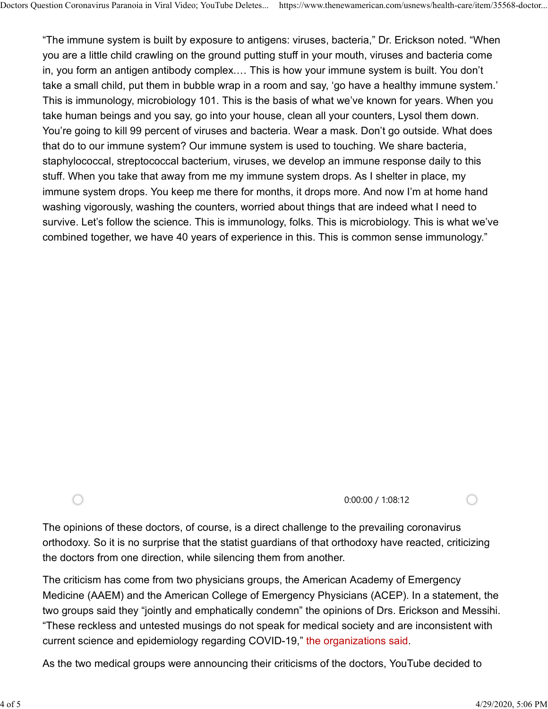"The immune system is built by exposure to antigens: viruses, bacteria," Dr. Erickson noted. "When you are a little child crawling on the ground putting stuff in your mouth, viruses and bacteria come in, you form an antigen antibody complex.… This is how your immune system is built. You don't take a small child, put them in bubble wrap in a room and say, 'go have a healthy immune system.' This is immunology, microbiology 101. This is the basis of what we've known for years. When you take human beings and you say, go into your house, clean all your counters, Lysol them down. You're going to kill 99 percent of viruses and bacteria. Wear a mask. Don't go outside. What does that do to our immune system? Our immune system is used to touching. We share bacteria, staphylococcal, streptococcal bacterium, viruses, we develop an immune response daily to this stuff. When you take that away from me my immune system drops. As I shelter in place, my immune system drops. You keep me there for months, it drops more. And now I'm at home hand washing vigorously, washing the counters, worried about things that are indeed what I need to survive. Let's follow the science. This is immunology, folks. This is microbiology. This is what we've combined together, we have 40 years of experience in this. This is common sense immunology." Doctors Question Coronavirus Paranoia in Viral Video; YouTube Deletes... https://www.thenewamerican.com/usnews/health-care/item/35568-doctor...<br>"The immune system is built by exposure to antigens: viruses, bacteria," Dr. E

 $\bigcap$ 

0:00:00 / 1:08:12

The opinions of these doctors, of course, is a direct challenge to the prevailing coronavirus orthodoxy. So it is no surprise that the statist guardians of that orthodoxy have reacted, criticizing the doctors from one direction, while silencing them from another.

The criticism has come from two physicians groups, the American Academy of Emergency Medicine (AAEM) and the American College of Emergency Physicians (ACEP). In a statement, the two groups said they "jointly and emphatically condemn" the opinions of Drs. Erickson and Messihi. "These reckless and untested musings do not speak for medical society and are inconsistent with current science and epidemiology regarding COVID-19," the organizations said.

As the two medical groups were announcing their criticisms of the doctors, YouTube decided to